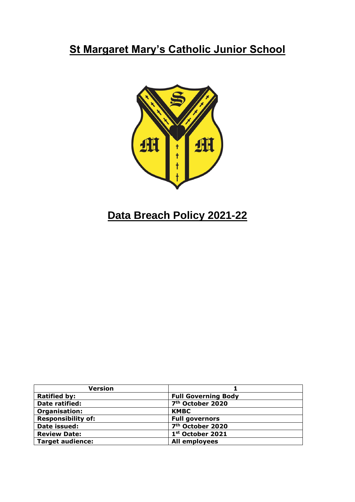# **St Margaret Mary's Catholic Junior School**



# **Data Breach Policy 2021-22**

| <b>Version</b>            |                              |
|---------------------------|------------------------------|
| <b>Ratified by:</b>       | <b>Full Governing Body</b>   |
| Date ratified:            | 7 <sup>th</sup> October 2020 |
| Organisation:             | <b>KMBC</b>                  |
| <b>Responsibility of:</b> | <b>Full governors</b>        |
| Date issued:              | 7 <sup>th</sup> October 2020 |
| <b>Review Date:</b>       | 1st October 2021             |
| <b>Target audience:</b>   | All employees                |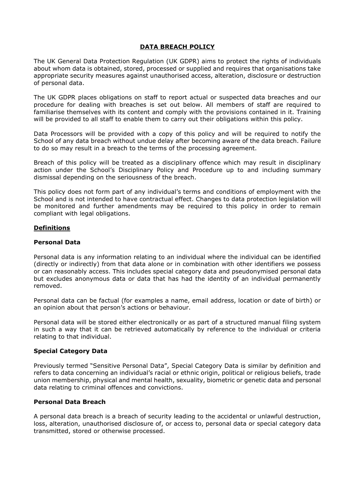#### **DATA BREACH POLICY**

The UK General Data Protection Regulation (UK GDPR) aims to protect the rights of individuals about whom data is obtained, stored, processed or supplied and requires that organisations take appropriate security measures against unauthorised access, alteration, disclosure or destruction of personal data.

The UK GDPR places obligations on staff to report actual or suspected data breaches and our procedure for dealing with breaches is set out below. All members of staff are required to familiarise themselves with its content and comply with the provisions contained in it. Training will be provided to all staff to enable them to carry out their obligations within this policy.

Data Processors will be provided with a copy of this policy and will be required to notify the School of any data breach without undue delay after becoming aware of the data breach. Failure to do so may result in a breach to the terms of the processing agreement.

Breach of this policy will be treated as a disciplinary offence which may result in disciplinary action under the School's Disciplinary Policy and Procedure up to and including summary dismissal depending on the seriousness of the breach.

This policy does not form part of any individual's terms and conditions of employment with the School and is not intended to have contractual effect. Changes to data protection legislation will be monitored and further amendments may be required to this policy in order to remain compliant with legal obligations.

#### **Definitions**

#### **Personal Data**

Personal data is any information relating to an individual where the individual can be identified (directly or indirectly) from that data alone or in combination with other identifiers we possess or can reasonably access. This includes special category data and pseudonymised personal data but excludes anonymous data or data that has had the identity of an individual permanently removed.

Personal data can be factual (for examples a name, email address, location or date of birth) or an opinion about that person's actions or behaviour.

Personal data will be stored either electronically or as part of a structured manual filing system in such a way that it can be retrieved automatically by reference to the individual or criteria relating to that individual.

#### **Special Category Data**

Previously termed "Sensitive Personal Data", Special Category Data is similar by definition and refers to data concerning an individual's racial or ethnic origin, political or religious beliefs, trade union membership, physical and mental health, sexuality, biometric or genetic data and personal data relating to criminal offences and convictions.

#### **Personal Data Breach**

A personal data breach is a breach of security leading to the accidental or unlawful destruction, loss, alteration, unauthorised disclosure of, or access to, personal data or special category data transmitted, stored or otherwise processed.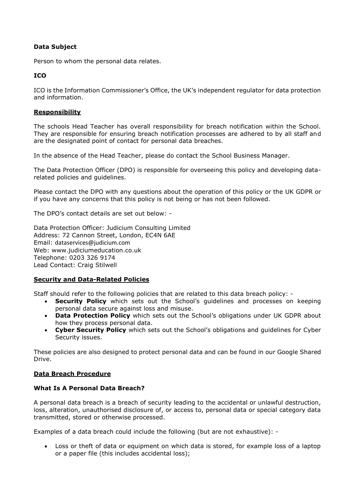# **Data Subject**

Person to whom the personal data relates.

# **ICO**

ICO is the Information Commissioner's Office, the UK's independent regulator for data protection and information.

#### **Responsibility**

The schools Head Teacher has overall responsibility for breach notification within the School. They are responsible for ensuring breach notification processes are adhered to by all staff and are the designated point of contact for personal data breaches.

In the absence of the Head Teacher, please do contact the School Business Manager.

The Data Protection Officer (DPO) is responsible for overseeing this policy and developing datarelated policies and guidelines.

Please contact the DPO with any questions about the operation of this policy or the UK GDPR or if you have any concerns that this policy is not being or has not been followed.

The DPO's contact details are set out below: -

Data Protection Officer: Judicium Consulting Limited Address: 72 Cannon Street, London, EC4N 6AE Email: [dataservices@judicium.com](mailto:dataservices@judicium.com) Web: www.judiciumeducation.co.uk Telephone: 0203 326 9174 Lead Contact: Craig Stilwell

# **Security and Data-Related Policies**

Staff should refer to the following policies that are related to this data breach policy: -

- **Security Policy** which sets out the School's guidelines and processes on keeping personal data secure against loss and misuse.
- **Data Protection Policy** which sets out the School's obligations under UK GDPR about how they process personal data.
- **Cyber Security Policy** which sets out the School's obligations and guidelines for Cyber Security issues.

These policies are also designed to protect personal data and can be found in our Google Shared Drive.

#### **Data Breach Procedure**

#### **What Is A Personal Data Breach?**

A personal data breach is a breach of security leading to the accidental or unlawful destruction, loss, alteration, unauthorised disclosure of, or access to, personal data or special category data transmitted, stored or otherwise processed.

Examples of a data breach could include the following (but are not exhaustive): -

• Loss or theft of data or equipment on which data is stored, for example loss of a laptop or a paper file (this includes accidental loss);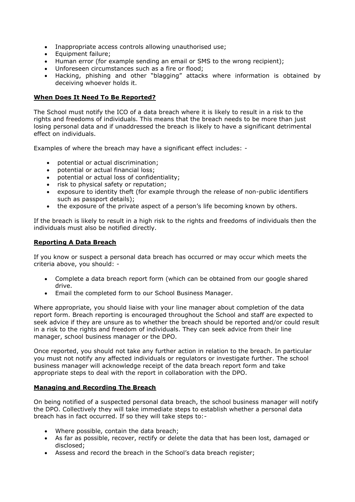- Inappropriate access controls allowing unauthorised use;
- Equipment failure;
- Human error (for example sending an email or SMS to the wrong recipient);
- Unforeseen circumstances such as a fire or flood;
- Hacking, phishing and other "blagging" attacks where information is obtained by deceiving whoever holds it.

#### **When Does It Need To Be Reported?**

The School must notify the ICO of a data breach where it is likely to result in a risk to the rights and freedoms of individuals. This means that the breach needs to be more than just losing personal data and if unaddressed the breach is likely to have a significant detrimental effect on individuals.

Examples of where the breach may have a significant effect includes: -

- potential or actual discrimination;
- potential or actual financial loss;
- potential or actual loss of confidentiality;
- risk to physical safety or reputation;
- exposure to identity theft (for example through the release of non-public identifiers such as passport details);
- the exposure of the private aspect of a person's life becoming known by others.

If the breach is likely to result in a high risk to the rights and freedoms of individuals then the individuals must also be notified directly.

# **Reporting A Data Breach**

If you know or suspect a personal data breach has occurred or may occur which meets the criteria above, you should: -

- Complete a data breach report form (which can be obtained from our google shared drive.
- Email the completed form to our School Business Manager.

Where appropriate, you should liaise with your line manager about completion of the data report form. Breach reporting is encouraged throughout the School and staff are expected to seek advice if they are unsure as to whether the breach should be reported and/or could result in a risk to the rights and freedom of individuals. They can seek advice from their line manager, school business manager or the DPO.

Once reported, you should not take any further action in relation to the breach. In particular you must not notify any affected individuals or regulators or investigate further. The school business manager will acknowledge receipt of the data breach report form and take appropriate steps to deal with the report in collaboration with the DPO.

# **Managing and Recording The Breach**

On being notified of a suspected personal data breach, the school business manager will notify the DPO. Collectively they will take immediate steps to establish whether a personal data breach has in fact occurred. If so they will take steps to:-

- Where possible, contain the data breach;
- As far as possible, recover, rectify or delete the data that has been lost, damaged or disclosed;
- Assess and record the breach in the School's data breach register;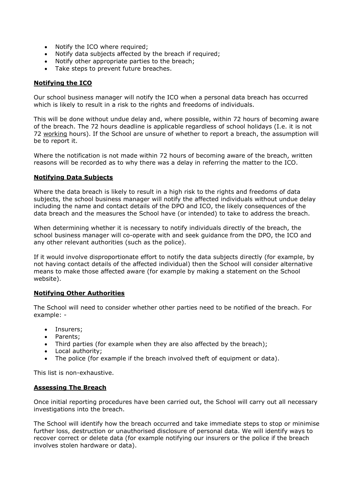- Notify the ICO where required;
- Notify data subjects affected by the breach if required;
- Notify other appropriate parties to the breach;
- Take steps to prevent future breaches.

#### **Notifying the ICO**

Our school business manager will notify the ICO when a personal data breach has occurred which is likely to result in a risk to the rights and freedoms of individuals.

This will be done without undue delay and, where possible, within 72 hours of becoming aware of the breach. The 72 hours deadline is applicable regardless of school holidays (I.e. it is not 72 working hours). If the School are unsure of whether to report a breach, the assumption will be to report it.

Where the notification is not made within 72 hours of becoming aware of the breach, written reasons will be recorded as to why there was a delay in referring the matter to the ICO.

#### **Notifying Data Subjects**

Where the data breach is likely to result in a high risk to the rights and freedoms of data subjects, the school business manager will notify the affected individuals without undue delay including the name and contact details of the DPO and ICO, the likely consequences of the data breach and the measures the School have (or intended) to take to address the breach.

When determining whether it is necessary to notify individuals directly of the breach, the school business manager will co-operate with and seek guidance from the DPO, the ICO and any other relevant authorities (such as the police).

If it would involve disproportionate effort to notify the data subjects directly (for example, by not having contact details of the affected individual) then the School will consider alternative means to make those affected aware (for example by making a statement on the School website).

#### **Notifying Other Authorities**

The School will need to consider whether other parties need to be notified of the breach. For example: -

- Insurers;
- Parents;
- Third parties (for example when they are also affected by the breach);
- Local authority;
- The police (for example if the breach involved theft of equipment or data).

This list is non-exhaustive.

#### **Assessing The Breach**

Once initial reporting procedures have been carried out, the School will carry out all necessary investigations into the breach.

The School will identify how the breach occurred and take immediate steps to stop or minimise further loss, destruction or unauthorised disclosure of personal data. We will identify ways to recover correct or delete data (for example notifying our insurers or the police if the breach involves stolen hardware or data).